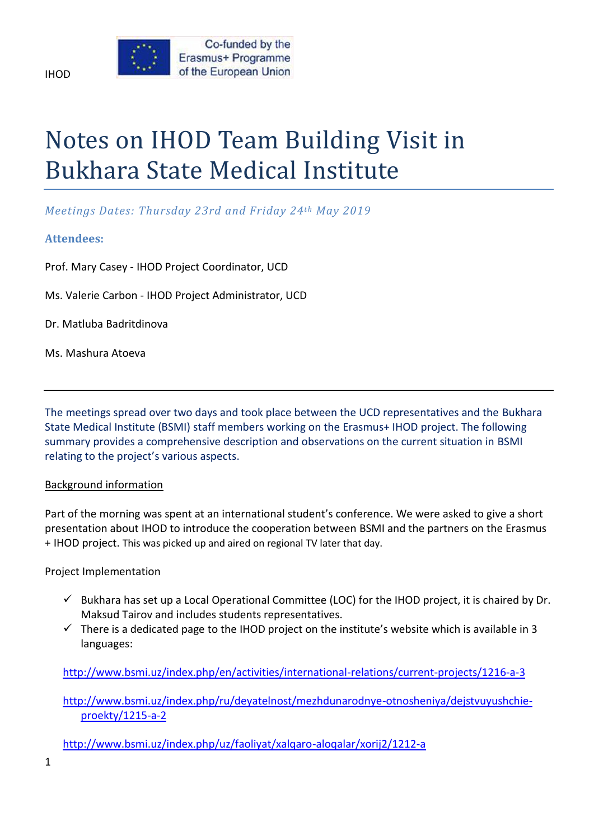# Notes on IHOD Team Building Visit in Bukhara State Medical Institute

# *Meetings Dates: Thursday 23rd and Friday 24th May 2019*

# **Attendees:**

Prof. Mary Casey - IHOD Project Coordinator, UCD

Ms. Valerie Carbon - IHOD Project Administrator, UCD

Dr. Matluba Badritdinova

Ms. Mashura Atoeva

The meetings spread over two days and took place between the UCD representatives and the Bukhara State Medical Institute (BSMI) staff members working on the Erasmus+ IHOD project. The following summary provides a comprehensive description and observations on the current situation in BSMI relating to the project's various aspects.

## Background information

Part of the morning was spent at an international student's conference. We were asked to give a short presentation about IHOD to introduce the cooperation between BSMI and the partners on the Erasmus + IHOD project. This was picked up and aired on regional TV later that day.

## Project Implementation

- $\checkmark$  Bukhara has set up a Local Operational Committee (LOC) for the IHOD project, it is chaired by Dr. Maksud Tairov and includes students representatives.
- $\checkmark$  There is a dedicated page to the IHOD project on the institute's website which is available in 3 languages:

<http://www.bsmi.uz/index.php/en/activities/international-relations/current-projects/1216-a-3>

[http://www.bsmi.uz/index.php/ru/deyatelnost/mezhdunarodnye-otnosheniya/dejstvuyushchie](http://www.bsmi.uz/index.php/ru/deyatelnost/mezhdunarodnye-otnosheniya/dejstvuyushchie-proekty/1215-a-2)[proekty/1215-a-2](http://www.bsmi.uz/index.php/ru/deyatelnost/mezhdunarodnye-otnosheniya/dejstvuyushchie-proekty/1215-a-2)

<http://www.bsmi.uz/index.php/uz/faoliyat/xalqaro-aloqalar/xorij2/1212-a>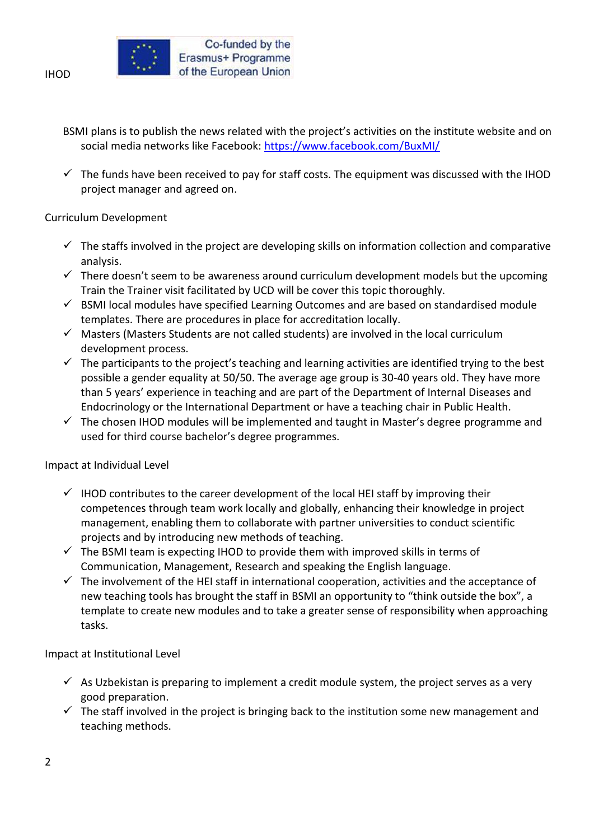

- BSMI plans is to publish the news related with the project's activities on the institute website and on social media networks like Facebook:<https://www.facebook.com/BuxMI/>
- $\checkmark$  The funds have been received to pay for staff costs. The equipment was discussed with the IHOD project manager and agreed on.

## Curriculum Development

- $\checkmark$  The staffs involved in the project are developing skills on information collection and comparative analysis.
- $\checkmark$  There doesn't seem to be awareness around curriculum development models but the upcoming Train the Trainer visit facilitated by UCD will be cover this topic thoroughly.
- $\checkmark$  BSMI local modules have specified Learning Outcomes and are based on standardised module templates. There are procedures in place for accreditation locally.
- $\checkmark$  Masters (Masters Students are not called students) are involved in the local curriculum development process.
- $\checkmark$  The participants to the project's teaching and learning activities are identified trying to the best possible a gender equality at 50/50. The average age group is 30-40 years old. They have more than 5 years' experience in teaching and are part of the Department of Internal Diseases and Endocrinology or the International Department or have a teaching chair in Public Health.
- $\checkmark$  The chosen IHOD modules will be implemented and taught in Master's degree programme and used for third course bachelor's degree programmes.

## Impact at Individual Level

- $\checkmark$  IHOD contributes to the career development of the local HEI staff by improving their competences through team work locally and globally, enhancing their knowledge in project management, enabling them to collaborate with partner universities to conduct scientific projects and by introducing new methods of teaching.
- $\checkmark$  The BSMI team is expecting IHOD to provide them with improved skills in terms of Communication, Management, Research and speaking the English language.
- $\checkmark$  The involvement of the HEI staff in international cooperation, activities and the acceptance of new teaching tools has brought the staff in BSMI an opportunity to "think outside the box", a template to create new modules and to take a greater sense of responsibility when approaching tasks.

# Impact at Institutional Level

- $\checkmark$  As Uzbekistan is preparing to implement a credit module system, the project serves as a very good preparation.
- $\checkmark$  The staff involved in the project is bringing back to the institution some new management and teaching methods.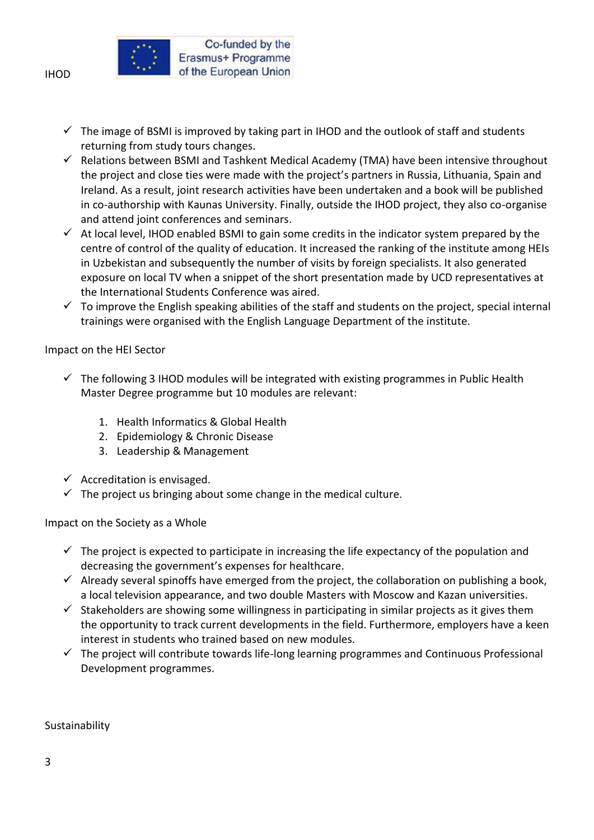

- $\checkmark$  The image of BSMI is improved by taking part in IHOD and the outlook of staff and students returning from study tours changes.
- $\checkmark$  Relations between BSMI and Tashkent Medical Academy (TMA) have been intensive throughout the project and close ties were made with the project's partners in Russia, Lithuania, Spain and Ireland. As a result, joint research activities have been undertaken and a book will be published in co-authorship with Kaunas University. Finally, outside the IHOD project, they also co-organise and attend joint conferences and seminars.
- $\checkmark$  At local level, IHOD enabled BSMI to gain some credits in the indicator system prepared by the centre of control of the quality of education. It increased the ranking of the institute among HEIs in Uzbekistan and subsequently the number of visits by foreign specialists. It also generated exposure on local TV when a snippet of the short presentation made by UCD representatives at the International Students Conference was aired.
- $\checkmark$  To improve the English speaking abilities of the staff and students on the project, special internal trainings were organised with the English Language Department of the institute.

## Impact on the HEI Sector

- $\checkmark$  The following 3 IHOD modules will be integrated with existing programmes in Public Health Master Degree programme but 10 modules are relevant:
	- 1. Health Informatics & Global Health
	- 2. Epidemiology & Chronic Disease
	- 3. Leadership & Management
- $\checkmark$  Accreditation is envisaged.
- $\checkmark$  The project us bringing about some change in the medical culture.

Impact on the Society as a Whole

- $\checkmark$  The project is expected to participate in increasing the life expectancy of the population and decreasing the government's expenses for healthcare.
- $\checkmark$  Already several spinoffs have emerged from the project, the collaboration on publishing a book, a local television appearance, and two double Masters with Moscow and Kazan universities.
- $\checkmark$  Stakeholders are showing some willingness in participating in similar projects as it gives them the opportunity to track current developments in the field. Furthermore, employers have a keen interest in students who trained based on new modules.
- $\checkmark$  The project will contribute towards life-long learning programmes and Continuous Professional Development programmes.

## Sustainability